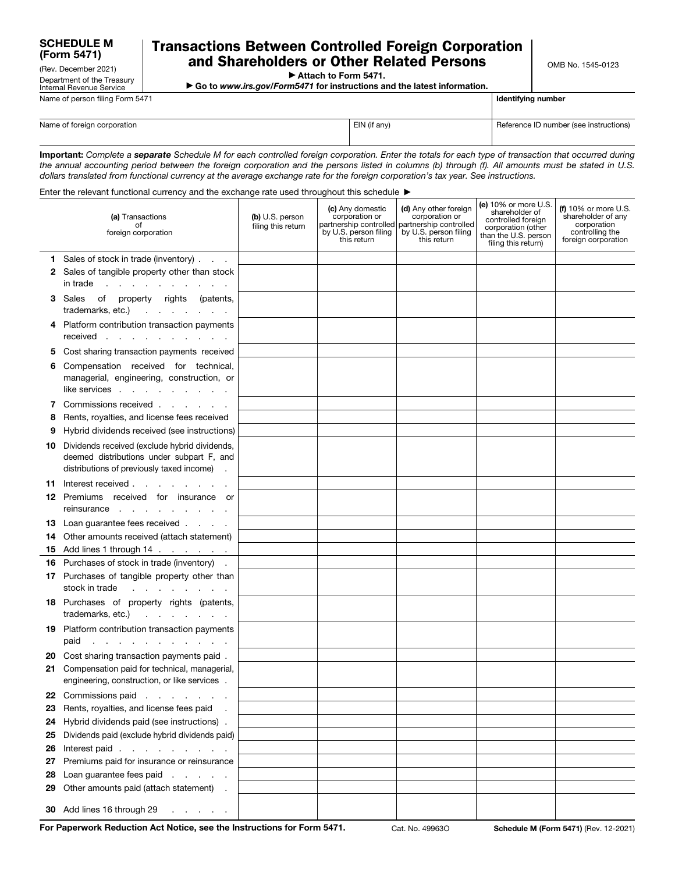## SCHEDULE M (Form 5471)

(Rev. December 2021) Department of the Treasury Internal Revenue Service

## Transactions Between Controlled Foreign Corporation and Shareholders or Other Related Persons

OMB No. 1545-0123

▶ Attach to Form 5471.

▶ Go to *www.irs.gov/Form5471* for instructions and the latest information.

| Name of person filing Form 5471 | Identifying number |                                        |
|---------------------------------|--------------------|----------------------------------------|
| Name of foreign corporation     | EIN (if any)       | Reference ID number (see instructions) |

Important: *Complete a separate Schedule M for each controlled foreign corporation. Enter the totals for each type of transaction that occurred during the annual accounting period between the foreign corporation and the persons listed in columns (b) through (f). All amounts must be stated in U.S. dollars translated from functional currency at the average exchange rate for the foreign corporation's tax year. See instructions.*

Enter the relevant functional currency and the exchange rate used throughout this schedule ▶

|    | (a) Transactions<br>ot<br>foreign corporation                                                                                               | (b) U.S. person<br>filing this return | (c) Any domestic<br>corporation or<br>partnership controlled<br>by U.S. person filing<br>this return | (d) Any other foreign<br>corporation or<br>partnership controlled<br>by U.S. person filing<br>this return | (e) 10% or more U.S.<br>shareholder of<br>controlled foreign<br>corporation (other<br>than the U.S. person<br>filing this return) | (f) $10\%$ or more U.S.<br>shareholder of any<br>corporation<br>controlling the<br>foreign corporation |
|----|---------------------------------------------------------------------------------------------------------------------------------------------|---------------------------------------|------------------------------------------------------------------------------------------------------|-----------------------------------------------------------------------------------------------------------|-----------------------------------------------------------------------------------------------------------------------------------|--------------------------------------------------------------------------------------------------------|
|    | 1 Sales of stock in trade (inventory)                                                                                                       |                                       |                                                                                                      |                                                                                                           |                                                                                                                                   |                                                                                                        |
|    | 2 Sales of tangible property other than stock<br>$int rad$ $\cdots$ $\cdots$ $\cdots$ $\cdots$                                              |                                       |                                                                                                      |                                                                                                           |                                                                                                                                   |                                                                                                        |
|    | 3 Sales of property rights (patents,<br>trademarks, etc.)                                                                                   |                                       |                                                                                                      |                                                                                                           |                                                                                                                                   |                                                                                                        |
|    | 4 Platform contribution transaction payments<br>received                                                                                    |                                       |                                                                                                      |                                                                                                           |                                                                                                                                   |                                                                                                        |
|    | 5 Cost sharing transaction payments received                                                                                                |                                       |                                                                                                      |                                                                                                           |                                                                                                                                   |                                                                                                        |
| 6  | Compensation received for technical,<br>managerial, engineering, construction, or<br>like services                                          |                                       |                                                                                                      |                                                                                                           |                                                                                                                                   |                                                                                                        |
| 7  | Commissions received                                                                                                                        |                                       |                                                                                                      |                                                                                                           |                                                                                                                                   |                                                                                                        |
| 8  | Rents, royalties, and license fees received                                                                                                 |                                       |                                                                                                      |                                                                                                           |                                                                                                                                   |                                                                                                        |
| 9  | Hybrid dividends received (see instructions)                                                                                                |                                       |                                                                                                      |                                                                                                           |                                                                                                                                   |                                                                                                        |
|    | 10 Dividends received (exclude hybrid dividends,<br>deemed distributions under subpart F, and<br>distributions of previously taxed income). |                                       |                                                                                                      |                                                                                                           |                                                                                                                                   |                                                                                                        |
|    | 11 Interest received                                                                                                                        |                                       |                                                                                                      |                                                                                                           |                                                                                                                                   |                                                                                                        |
|    | <b>12</b> Premiums received for insurance or<br>reinsurance<br>the contract of the contract of the                                          |                                       |                                                                                                      |                                                                                                           |                                                                                                                                   |                                                                                                        |
|    | <b>13</b> Loan guarantee fees received                                                                                                      |                                       |                                                                                                      |                                                                                                           |                                                                                                                                   |                                                                                                        |
| 14 | Other amounts received (attach statement)                                                                                                   |                                       |                                                                                                      |                                                                                                           |                                                                                                                                   |                                                                                                        |
|    |                                                                                                                                             |                                       |                                                                                                      |                                                                                                           |                                                                                                                                   |                                                                                                        |
|    | <b>16</b> Purchases of stock in trade (inventory).                                                                                          |                                       |                                                                                                      |                                                                                                           |                                                                                                                                   |                                                                                                        |
|    | 17 Purchases of tangible property other than<br>stock in trade<br>and the company of the company of                                         |                                       |                                                                                                      |                                                                                                           |                                                                                                                                   |                                                                                                        |
|    | 18 Purchases of property rights (patents,<br>trademarks, etc.)                                                                              |                                       |                                                                                                      |                                                                                                           |                                                                                                                                   |                                                                                                        |
|    | 19 Platform contribution transaction payments<br>paid                                                                                       |                                       |                                                                                                      |                                                                                                           |                                                                                                                                   |                                                                                                        |
|    | 20 Cost sharing transaction payments paid.                                                                                                  |                                       |                                                                                                      |                                                                                                           |                                                                                                                                   |                                                                                                        |
| 21 | Compensation paid for technical, managerial,<br>engineering, construction, or like services.                                                |                                       |                                                                                                      |                                                                                                           |                                                                                                                                   |                                                                                                        |
|    | 22 Commissions paid                                                                                                                         |                                       |                                                                                                      |                                                                                                           |                                                                                                                                   |                                                                                                        |
|    | 23 Rents, royalties, and license fees paid                                                                                                  |                                       |                                                                                                      |                                                                                                           |                                                                                                                                   |                                                                                                        |
| 24 | Hybrid dividends paid (see instructions).                                                                                                   |                                       |                                                                                                      |                                                                                                           |                                                                                                                                   |                                                                                                        |
| 25 | Dividends paid (exclude hybrid dividends paid)                                                                                              |                                       |                                                                                                      |                                                                                                           |                                                                                                                                   |                                                                                                        |
| 26 | Interest paid                                                                                                                               |                                       |                                                                                                      |                                                                                                           |                                                                                                                                   |                                                                                                        |
| 27 | Premiums paid for insurance or reinsurance                                                                                                  |                                       |                                                                                                      |                                                                                                           |                                                                                                                                   |                                                                                                        |
| 28 | Loan guarantee fees paid                                                                                                                    |                                       |                                                                                                      |                                                                                                           |                                                                                                                                   |                                                                                                        |
| 29 | Other amounts paid (attach statement) .                                                                                                     |                                       |                                                                                                      |                                                                                                           |                                                                                                                                   |                                                                                                        |
|    | 30 Add lines 16 through 29<br>and a strategic and                                                                                           |                                       |                                                                                                      |                                                                                                           |                                                                                                                                   |                                                                                                        |

For Paperwork Reduction Act Notice, see the Instructions for Form 5471. Cat. No. 499630 Schedule M (Form 5471) (Rev. 12-2021)